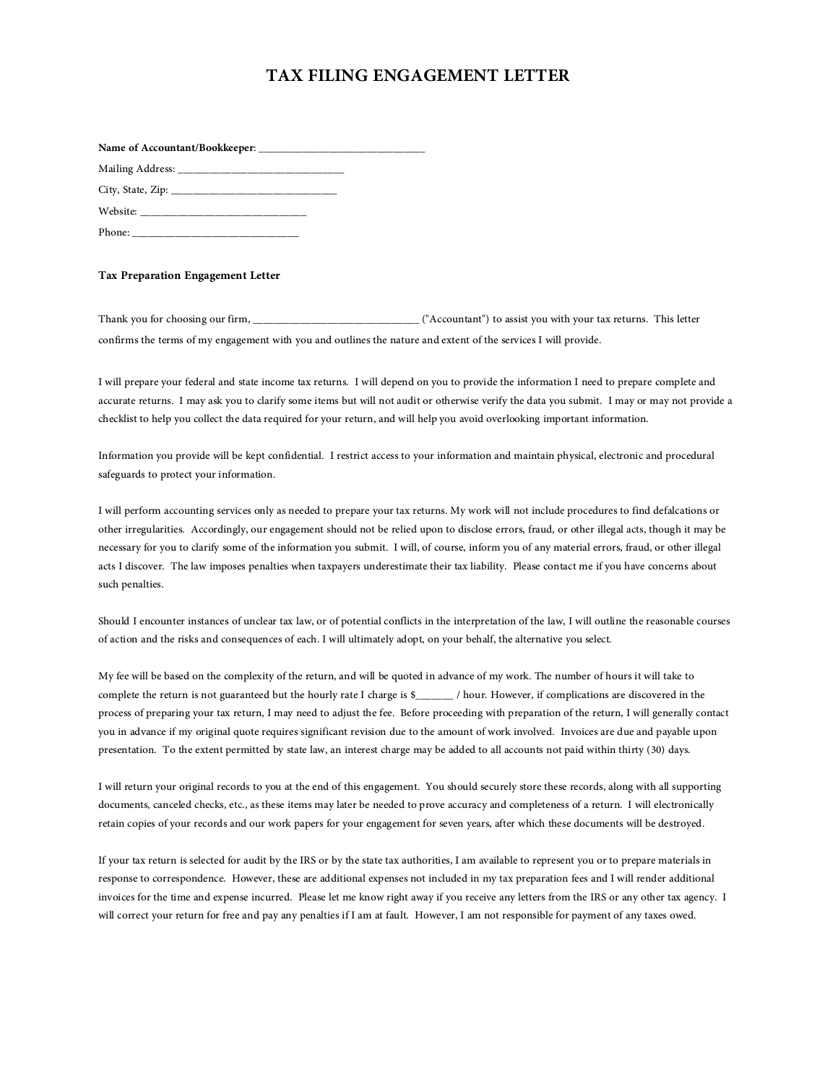## **TAX FILING ENGAGEMENT LETTER**

## **Tax Preparation Engagement Letter**

Thank you for choosing our firm, \_\_\_\_\_\_\_\_\_\_\_\_\_\_\_\_\_\_\_\_\_\_\_\_\_\_\_\_\_\_\_ ("Accountant") to assist you with your tax returns. This letter confirms the terms of my engagement with you and outlines the nature and extent of the services I will provide.

I will prepare your federal and state income tax returns. I will depend on you to provide the information I need to prepare complete and<br>accurate returns. I may ask you to clarify some items but will not audit or otherwise checklist to help you collect the data required for your return, and will help you avoid overlooking important information.

Information you provide will be kept confidential. I restrict access to your information and maintain physical, electronic and procedural safeguards to protect your information.

I will perform accounting services only as needed to prepare your tax returns. My work will not include procedures to find defalcations or other irregularities. Accordingly, our engagement should not be relied upon to disc

Should I encounter instances of unclear tax law, or of potential conflicts in the interpretation of the law, I will outline the reasonable courses of action and the risks and consequences of each. I will ultimately adopt,

My fee will be based on the complexity of the return, and will be quoted in advance of my work. The number of hours it will take to complete the return is not guaranteed but the hourly rate I charge is \$\_\_\_\_\_\_\_\_\_\_\_\_\_\_\_\_\_\_\_

I will return your original records to you at the end of this engagement. You should securely store these records, along with all supporting documents, canceled checks, etc., as these items may later be needed to prove acc

If your tax return is selected for audit by the IRS or by the state tax authorities, I am available to represent you or to prepare materials in<br>response to correspondence. However, these are additional expenses not include